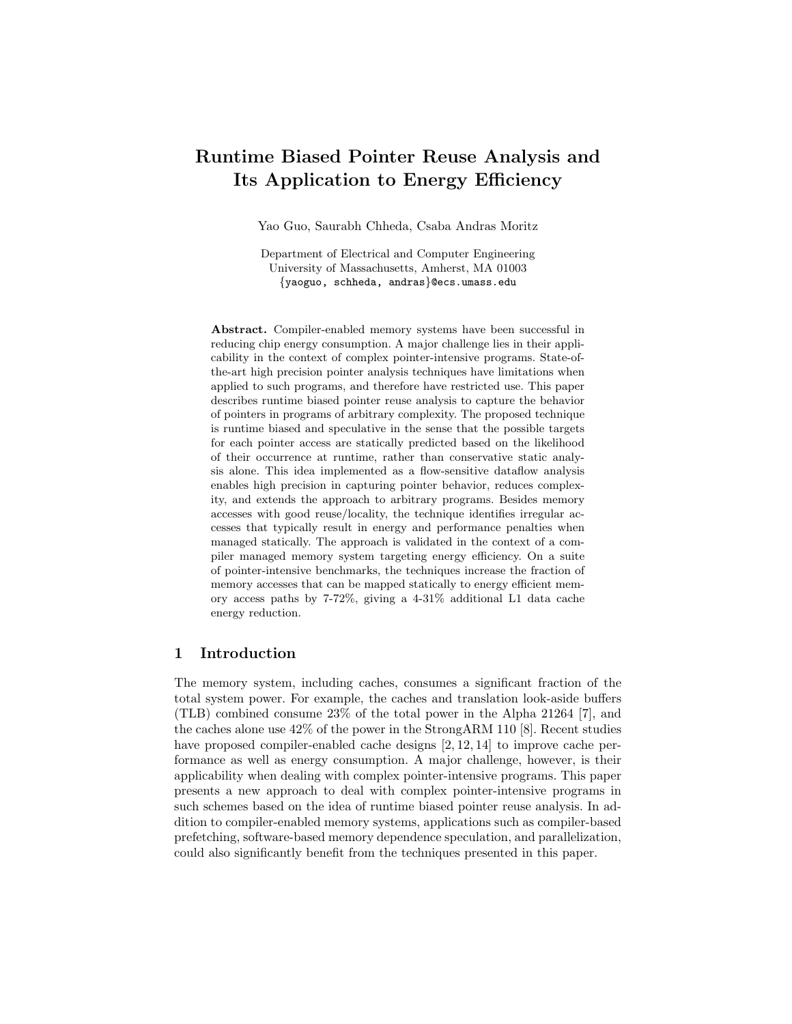# Runtime Biased Pointer Reuse Analysis and Its Application to Energy Efficiency

Yao Guo, Saurabh Chheda, Csaba Andras Moritz

Department of Electrical and Computer Engineering University of Massachusetts, Amherst, MA 01003 {yaoguo, schheda, andras}@ecs.umass.edu

Abstract. Compiler-enabled memory systems have been successful in reducing chip energy consumption. A major challenge lies in their applicability in the context of complex pointer-intensive programs. State-ofthe-art high precision pointer analysis techniques have limitations when applied to such programs, and therefore have restricted use. This paper describes runtime biased pointer reuse analysis to capture the behavior of pointers in programs of arbitrary complexity. The proposed technique is runtime biased and speculative in the sense that the possible targets for each pointer access are statically predicted based on the likelihood of their occurrence at runtime, rather than conservative static analysis alone. This idea implemented as a flow-sensitive dataflow analysis enables high precision in capturing pointer behavior, reduces complexity, and extends the approach to arbitrary programs. Besides memory accesses with good reuse/locality, the technique identifies irregular accesses that typically result in energy and performance penalties when managed statically. The approach is validated in the context of a compiler managed memory system targeting energy efficiency. On a suite of pointer-intensive benchmarks, the techniques increase the fraction of memory accesses that can be mapped statically to energy efficient memory access paths by 7-72%, giving a 4-31% additional L1 data cache energy reduction.

# 1 Introduction

The memory system, including caches, consumes a significant fraction of the total system power. For example, the caches and translation look-aside buffers (TLB) combined consume 23% of the total power in the Alpha 21264 [7], and the caches alone use 42% of the power in the StrongARM 110 [8]. Recent studies have proposed compiler-enabled cache designs [2, 12, 14] to improve cache performance as well as energy consumption. A major challenge, however, is their applicability when dealing with complex pointer-intensive programs. This paper presents a new approach to deal with complex pointer-intensive programs in such schemes based on the idea of runtime biased pointer reuse analysis. In addition to compiler-enabled memory systems, applications such as compiler-based prefetching, software-based memory dependence speculation, and parallelization, could also significantly benefit from the techniques presented in this paper.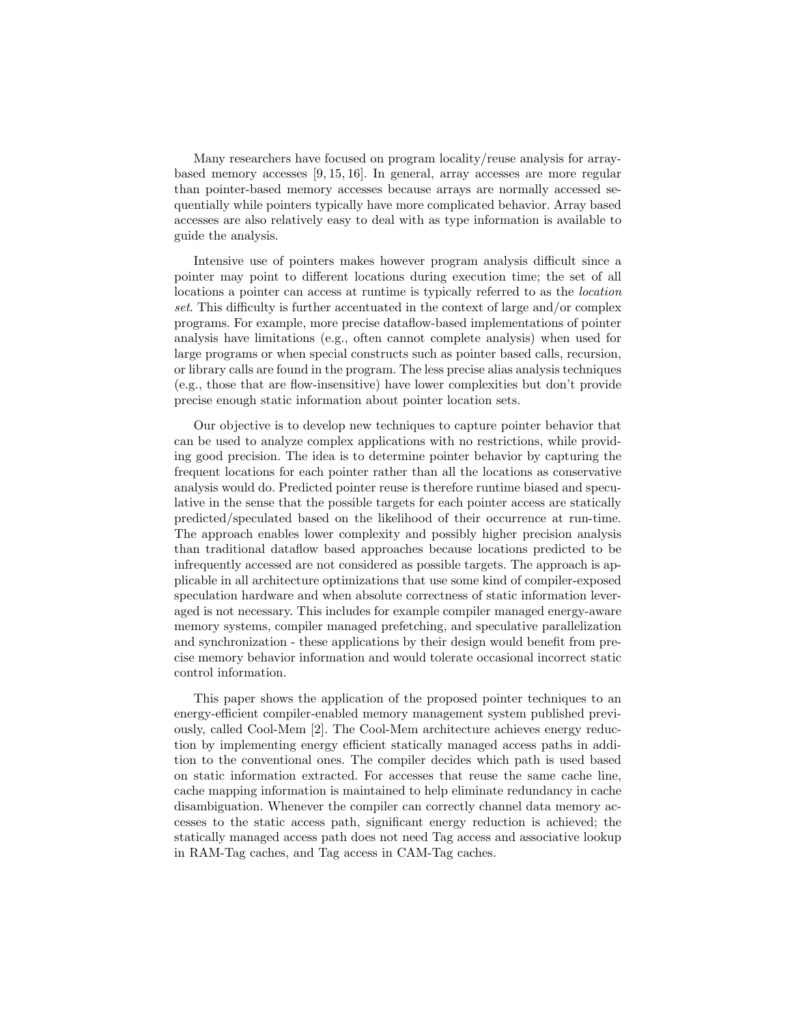Many researchers have focused on program locality/reuse analysis for arraybased memory accesses [9, 15, 16]. In general, array accesses are more regular than pointer-based memory accesses because arrays are normally accessed sequentially while pointers typically have more complicated behavior. Array based accesses are also relatively easy to deal with as type information is available to guide the analysis.

Intensive use of pointers makes however program analysis difficult since a pointer may point to different locations during execution time; the set of all locations a pointer can access at runtime is typically referred to as the location set. This difficulty is further accentuated in the context of large and/or complex programs. For example, more precise dataflow-based implementations of pointer analysis have limitations (e.g., often cannot complete analysis) when used for large programs or when special constructs such as pointer based calls, recursion, or library calls are found in the program. The less precise alias analysis techniques (e.g., those that are flow-insensitive) have lower complexities but don't provide precise enough static information about pointer location sets.

Our objective is to develop new techniques to capture pointer behavior that can be used to analyze complex applications with no restrictions, while providing good precision. The idea is to determine pointer behavior by capturing the frequent locations for each pointer rather than all the locations as conservative analysis would do. Predicted pointer reuse is therefore runtime biased and speculative in the sense that the possible targets for each pointer access are statically predicted/speculated based on the likelihood of their occurrence at run-time. The approach enables lower complexity and possibly higher precision analysis than traditional dataflow based approaches because locations predicted to be infrequently accessed are not considered as possible targets. The approach is applicable in all architecture optimizations that use some kind of compiler-exposed speculation hardware and when absolute correctness of static information leveraged is not necessary. This includes for example compiler managed energy-aware memory systems, compiler managed prefetching, and speculative parallelization and synchronization - these applications by their design would benefit from precise memory behavior information and would tolerate occasional incorrect static control information.

This paper shows the application of the proposed pointer techniques to an energy-efficient compiler-enabled memory management system published previously, called Cool-Mem [2]. The Cool-Mem architecture achieves energy reduction by implementing energy efficient statically managed access paths in addition to the conventional ones. The compiler decides which path is used based on static information extracted. For accesses that reuse the same cache line, cache mapping information is maintained to help eliminate redundancy in cache disambiguation. Whenever the compiler can correctly channel data memory accesses to the static access path, significant energy reduction is achieved; the statically managed access path does not need Tag access and associative lookup in RAM-Tag caches, and Tag access in CAM-Tag caches.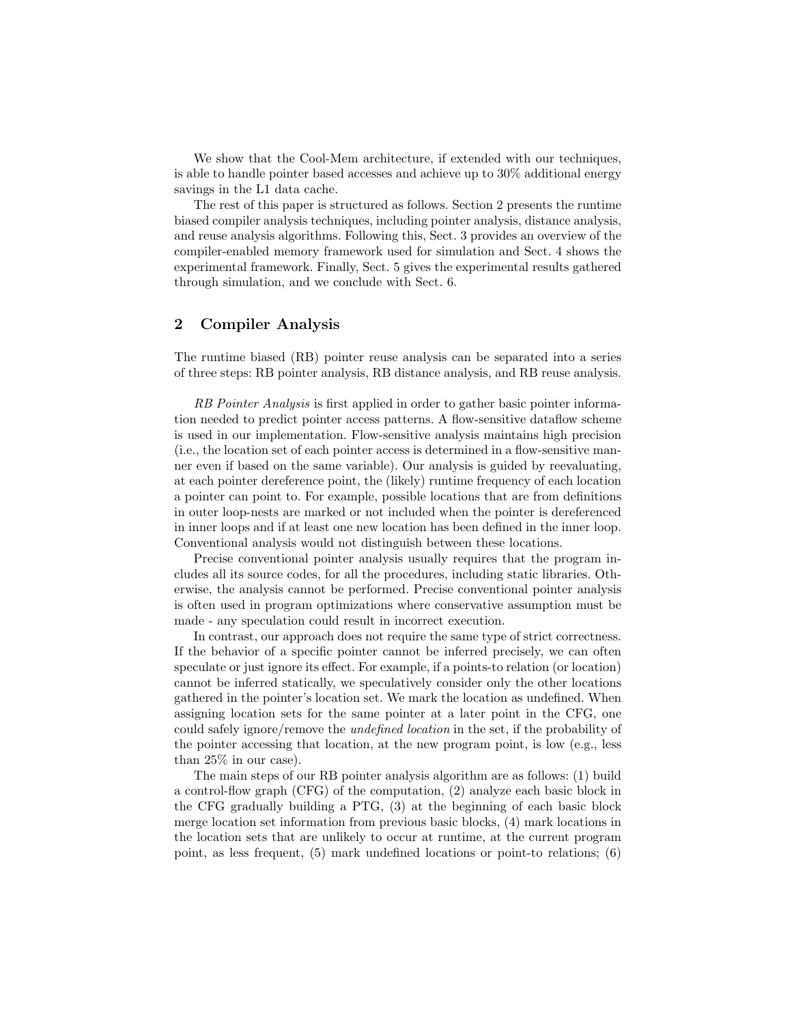We show that the Cool-Mem architecture, if extended with our techniques, is able to handle pointer based accesses and achieve up to 30% additional energy savings in the L1 data cache.

The rest of this paper is structured as follows. Section 2 presents the runtime biased compiler analysis techniques, including pointer analysis, distance analysis, and reuse analysis algorithms. Following this, Sect. 3 provides an overview of the compiler-enabled memory framework used for simulation and Sect. 4 shows the experimental framework. Finally, Sect. 5 gives the experimental results gathered through simulation, and we conclude with Sect. 6.

## 2 Compiler Analysis

The runtime biased (RB) pointer reuse analysis can be separated into a series of three steps: RB pointer analysis, RB distance analysis, and RB reuse analysis.

RB Pointer Analysis is first applied in order to gather basic pointer information needed to predict pointer access patterns. A flow-sensitive dataflow scheme is used in our implementation. Flow-sensitive analysis maintains high precision (i.e., the location set of each pointer access is determined in a flow-sensitive manner even if based on the same variable). Our analysis is guided by reevaluating, at each pointer dereference point, the (likely) runtime frequency of each location a pointer can point to. For example, possible locations that are from definitions in outer loop-nests are marked or not included when the pointer is dereferenced in inner loops and if at least one new location has been defined in the inner loop. Conventional analysis would not distinguish between these locations.

Precise conventional pointer analysis usually requires that the program includes all its source codes, for all the procedures, including static libraries. Otherwise, the analysis cannot be performed. Precise conventional pointer analysis is often used in program optimizations where conservative assumption must be made - any speculation could result in incorrect execution.

In contrast, our approach does not require the same type of strict correctness. If the behavior of a specific pointer cannot be inferred precisely, we can often speculate or just ignore its effect. For example, if a points-to relation (or location) cannot be inferred statically, we speculatively consider only the other locations gathered in the pointer's location set. We mark the location as undefined. When assigning location sets for the same pointer at a later point in the CFG, one could safely ignore/remove the undefined location in the set, if the probability of the pointer accessing that location, at the new program point, is low (e.g., less than 25% in our case).

The main steps of our RB pointer analysis algorithm are as follows: (1) build a control-flow graph (CFG) of the computation, (2) analyze each basic block in the CFG gradually building a PTG, (3) at the beginning of each basic block merge location set information from previous basic blocks, (4) mark locations in the location sets that are unlikely to occur at runtime, at the current program point, as less frequent, (5) mark undefined locations or point-to relations; (6)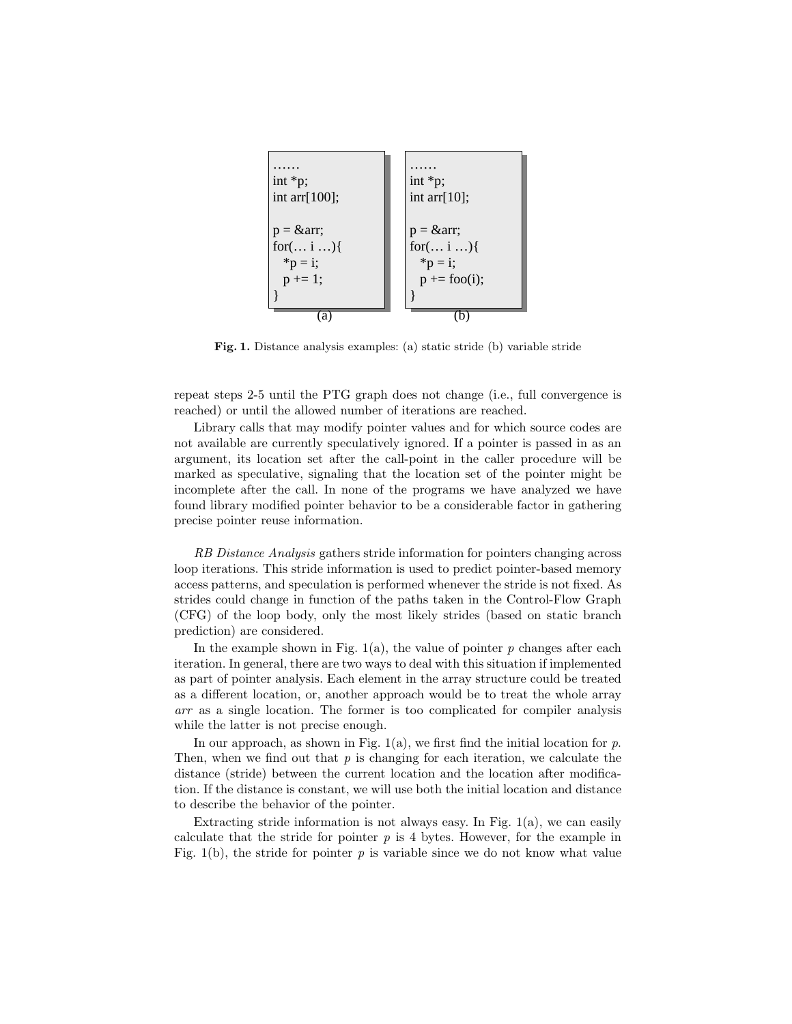

Fig. 1. Distance analysis examples: (a) static stride (b) variable stride

repeat steps 2-5 until the PTG graph does not change (i.e., full convergence is reached) or until the allowed number of iterations are reached.

Library calls that may modify pointer values and for which source codes are not available are currently speculatively ignored. If a pointer is passed in as an argument, its location set after the call-point in the caller procedure will be marked as speculative, signaling that the location set of the pointer might be incomplete after the call. In none of the programs we have analyzed we have found library modified pointer behavior to be a considerable factor in gathering precise pointer reuse information.

RB Distance Analysis gathers stride information for pointers changing across loop iterations. This stride information is used to predict pointer-based memory access patterns, and speculation is performed whenever the stride is not fixed. As strides could change in function of the paths taken in the Control-Flow Graph (CFG) of the loop body, only the most likely strides (based on static branch prediction) are considered.

In the example shown in Fig. 1(a), the value of pointer  $p$  changes after each iteration. In general, there are two ways to deal with this situation if implemented as part of pointer analysis. Each element in the array structure could be treated as a different location, or, another approach would be to treat the whole array arr as a single location. The former is too complicated for compiler analysis while the latter is not precise enough.

In our approach, as shown in Fig. 1(a), we first find the initial location for  $p$ . Then, when we find out that  $p$  is changing for each iteration, we calculate the distance (stride) between the current location and the location after modification. If the distance is constant, we will use both the initial location and distance to describe the behavior of the pointer.

Extracting stride information is not always easy. In Fig.  $1(a)$ , we can easily calculate that the stride for pointer  $p$  is 4 bytes. However, for the example in Fig. 1(b), the stride for pointer p is variable since we do not know what value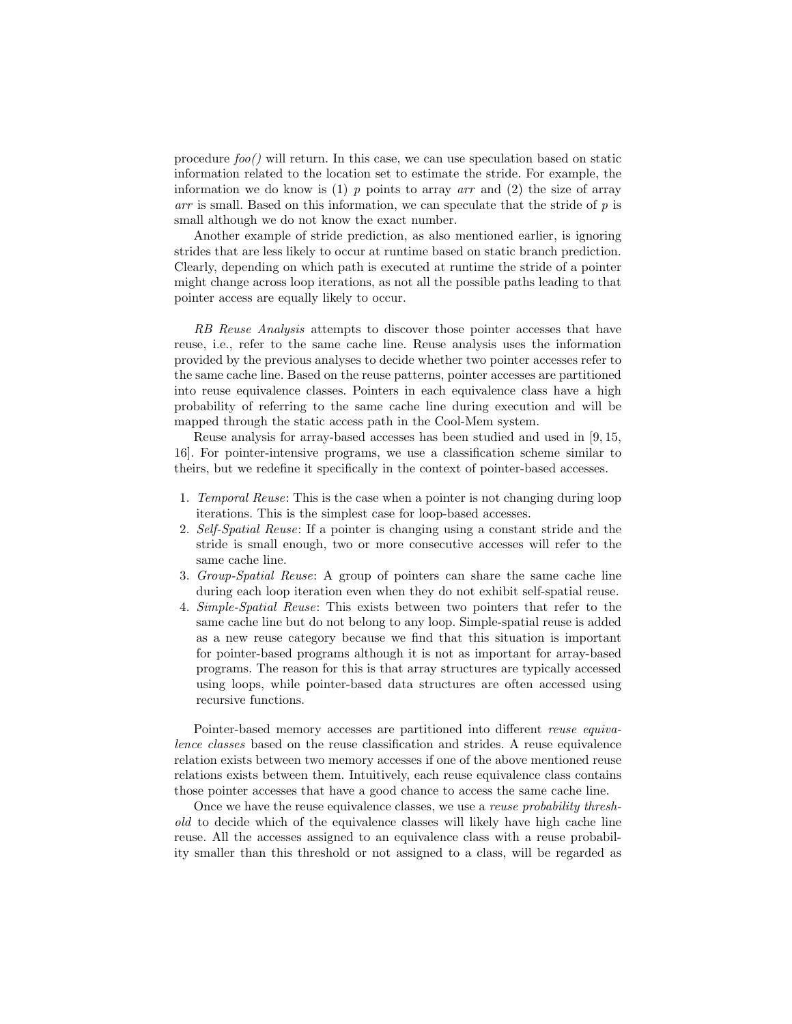procedure  $foo()$  will return. In this case, we can use speculation based on static information related to the location set to estimate the stride. For example, the information we do know is  $(1)$  p points to array arr and  $(2)$  the size of array arr is small. Based on this information, we can speculate that the stride of  $p$  is small although we do not know the exact number.

Another example of stride prediction, as also mentioned earlier, is ignoring strides that are less likely to occur at runtime based on static branch prediction. Clearly, depending on which path is executed at runtime the stride of a pointer might change across loop iterations, as not all the possible paths leading to that pointer access are equally likely to occur.

RB Reuse Analysis attempts to discover those pointer accesses that have reuse, i.e., refer to the same cache line. Reuse analysis uses the information provided by the previous analyses to decide whether two pointer accesses refer to the same cache line. Based on the reuse patterns, pointer accesses are partitioned into reuse equivalence classes. Pointers in each equivalence class have a high probability of referring to the same cache line during execution and will be mapped through the static access path in the Cool-Mem system.

Reuse analysis for array-based accesses has been studied and used in [9, 15, 16]. For pointer-intensive programs, we use a classification scheme similar to theirs, but we redefine it specifically in the context of pointer-based accesses.

- 1. Temporal Reuse: This is the case when a pointer is not changing during loop iterations. This is the simplest case for loop-based accesses.
- 2. Self-Spatial Reuse: If a pointer is changing using a constant stride and the stride is small enough, two or more consecutive accesses will refer to the same cache line.
- 3. Group-Spatial Reuse: A group of pointers can share the same cache line during each loop iteration even when they do not exhibit self-spatial reuse.
- 4. Simple-Spatial Reuse: This exists between two pointers that refer to the same cache line but do not belong to any loop. Simple-spatial reuse is added as a new reuse category because we find that this situation is important for pointer-based programs although it is not as important for array-based programs. The reason for this is that array structures are typically accessed using loops, while pointer-based data structures are often accessed using recursive functions.

Pointer-based memory accesses are partitioned into different reuse equivalence classes based on the reuse classification and strides. A reuse equivalence relation exists between two memory accesses if one of the above mentioned reuse relations exists between them. Intuitively, each reuse equivalence class contains those pointer accesses that have a good chance to access the same cache line.

Once we have the reuse equivalence classes, we use a reuse probability threshold to decide which of the equivalence classes will likely have high cache line reuse. All the accesses assigned to an equivalence class with a reuse probability smaller than this threshold or not assigned to a class, will be regarded as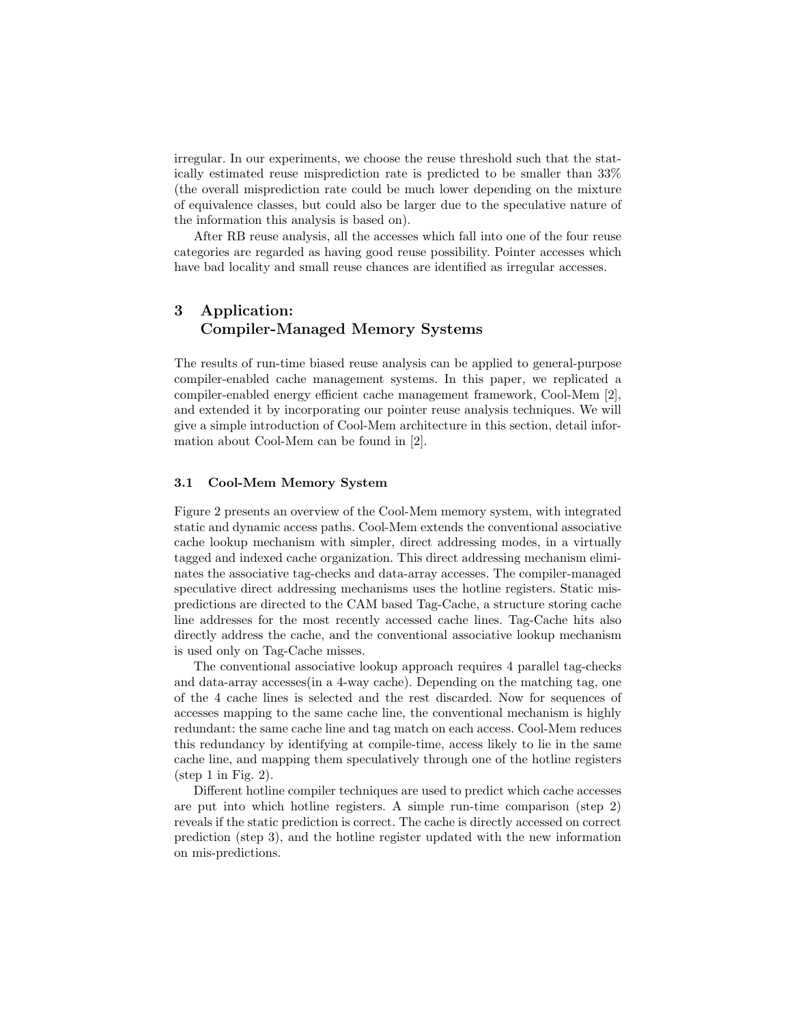irregular. In our experiments, we choose the reuse threshold such that the statically estimated reuse misprediction rate is predicted to be smaller than 33% (the overall misprediction rate could be much lower depending on the mixture of equivalence classes, but could also be larger due to the speculative nature of the information this analysis is based on).

After RB reuse analysis, all the accesses which fall into one of the four reuse categories are regarded as having good reuse possibility. Pointer accesses which have bad locality and small reuse chances are identified as irregular accesses.

# 3 Application: Compiler-Managed Memory Systems

The results of run-time biased reuse analysis can be applied to general-purpose compiler-enabled cache management systems. In this paper, we replicated a compiler-enabled energy efficient cache management framework, Cool-Mem [2], and extended it by incorporating our pointer reuse analysis techniques. We will give a simple introduction of Cool-Mem architecture in this section, detail information about Cool-Mem can be found in [2].

#### 3.1 Cool-Mem Memory System

Figure 2 presents an overview of the Cool-Mem memory system, with integrated static and dynamic access paths. Cool-Mem extends the conventional associative cache lookup mechanism with simpler, direct addressing modes, in a virtually tagged and indexed cache organization. This direct addressing mechanism eliminates the associative tag-checks and data-array accesses. The compiler-managed speculative direct addressing mechanisms uses the hotline registers. Static mispredictions are directed to the CAM based Tag-Cache, a structure storing cache line addresses for the most recently accessed cache lines. Tag-Cache hits also directly address the cache, and the conventional associative lookup mechanism is used only on Tag-Cache misses.

The conventional associative lookup approach requires 4 parallel tag-checks and data-array accesses(in a 4-way cache). Depending on the matching tag, one of the 4 cache lines is selected and the rest discarded. Now for sequences of accesses mapping to the same cache line, the conventional mechanism is highly redundant: the same cache line and tag match on each access. Cool-Mem reduces this redundancy by identifying at compile-time, access likely to lie in the same cache line, and mapping them speculatively through one of the hotline registers  $(\text{step 1 in Fig. 2}).$ 

Different hotline compiler techniques are used to predict which cache accesses are put into which hotline registers. A simple run-time comparison (step 2) reveals if the static prediction is correct. The cache is directly accessed on correct prediction (step 3), and the hotline register updated with the new information on mis-predictions.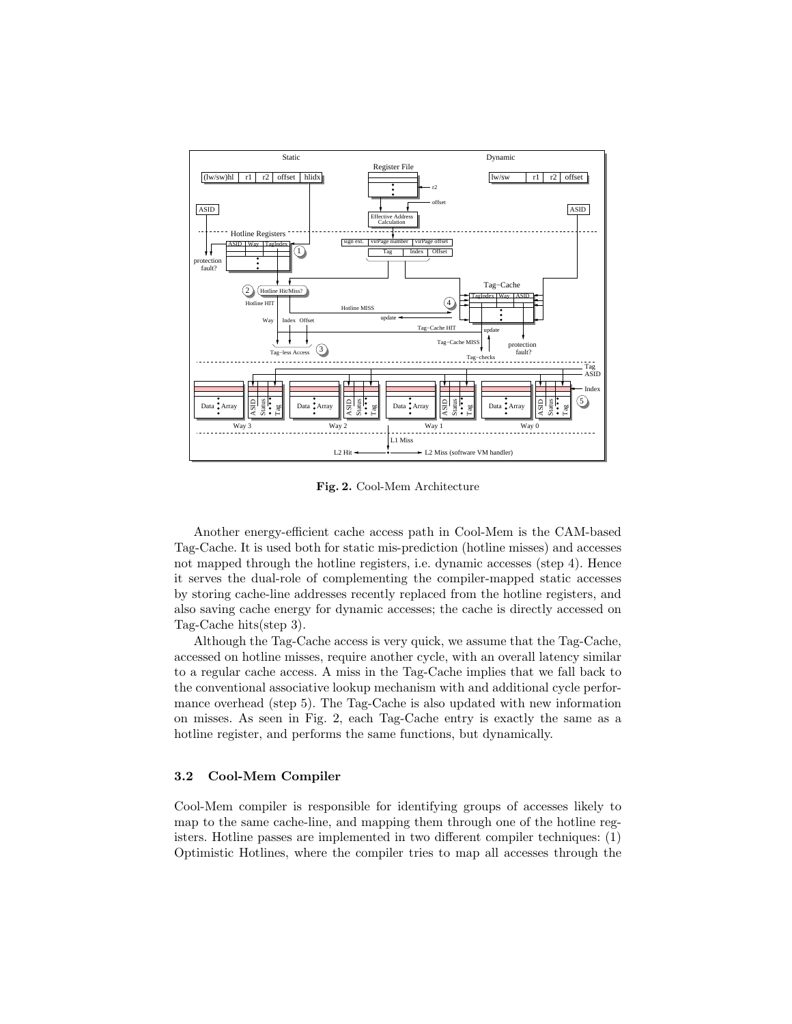

Fig. 2. Cool-Mem Architecture

Another energy-efficient cache access path in Cool-Mem is the CAM-based Tag-Cache. It is used both for static mis-prediction (hotline misses) and accesses not mapped through the hotline registers, i.e. dynamic accesses (step 4). Hence it serves the dual-role of complementing the compiler-mapped static accesses by storing cache-line addresses recently replaced from the hotline registers, and also saving cache energy for dynamic accesses; the cache is directly accessed on Tag-Cache hits(step 3).

Although the Tag-Cache access is very quick, we assume that the Tag-Cache, accessed on hotline misses, require another cycle, with an overall latency similar to a regular cache access. A miss in the Tag-Cache implies that we fall back to the conventional associative lookup mechanism with and additional cycle performance overhead (step 5). The Tag-Cache is also updated with new information on misses. As seen in Fig. 2, each Tag-Cache entry is exactly the same as a hotline register, and performs the same functions, but dynamically.

#### 3.2 Cool-Mem Compiler

Cool-Mem compiler is responsible for identifying groups of accesses likely to map to the same cache-line, and mapping them through one of the hotline registers. Hotline passes are implemented in two different compiler techniques: (1) Optimistic Hotlines, where the compiler tries to map all accesses through the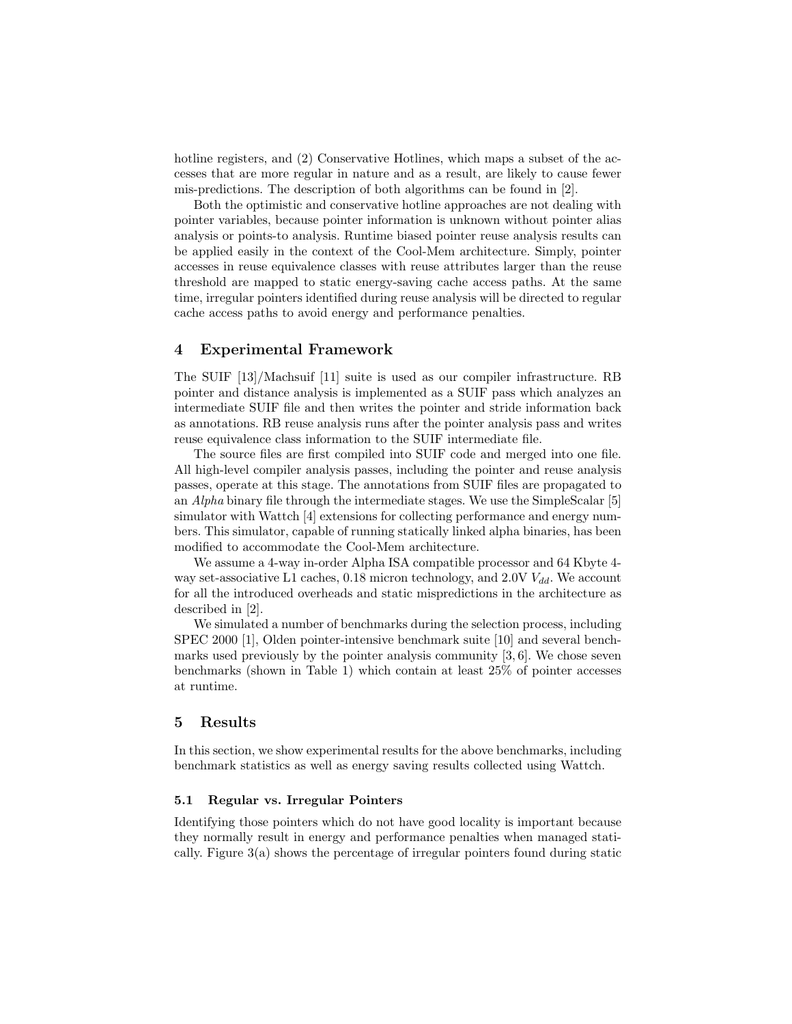hotline registers, and (2) Conservative Hotlines, which maps a subset of the accesses that are more regular in nature and as a result, are likely to cause fewer mis-predictions. The description of both algorithms can be found in [2].

Both the optimistic and conservative hotline approaches are not dealing with pointer variables, because pointer information is unknown without pointer alias analysis or points-to analysis. Runtime biased pointer reuse analysis results can be applied easily in the context of the Cool-Mem architecture. Simply, pointer accesses in reuse equivalence classes with reuse attributes larger than the reuse threshold are mapped to static energy-saving cache access paths. At the same time, irregular pointers identified during reuse analysis will be directed to regular cache access paths to avoid energy and performance penalties.

## 4 Experimental Framework

The SUIF [13]/Machsuif [11] suite is used as our compiler infrastructure. RB pointer and distance analysis is implemented as a SUIF pass which analyzes an intermediate SUIF file and then writes the pointer and stride information back as annotations. RB reuse analysis runs after the pointer analysis pass and writes reuse equivalence class information to the SUIF intermediate file.

The source files are first compiled into SUIF code and merged into one file. All high-level compiler analysis passes, including the pointer and reuse analysis passes, operate at this stage. The annotations from SUIF files are propagated to an Alpha binary file through the intermediate stages. We use the SimpleScalar [5] simulator with Wattch [4] extensions for collecting performance and energy numbers. This simulator, capable of running statically linked alpha binaries, has been modified to accommodate the Cool-Mem architecture.

We assume a 4-way in-order Alpha ISA compatible processor and 64 Kbyte 4way set-associative L1 caches, 0.18 micron technology, and 2.0V  $V_{dd}$ . We account for all the introduced overheads and static mispredictions in the architecture as described in [2].

We simulated a number of benchmarks during the selection process, including SPEC 2000 [1], Olden pointer-intensive benchmark suite [10] and several benchmarks used previously by the pointer analysis community [3, 6]. We chose seven benchmarks (shown in Table 1) which contain at least 25% of pointer accesses at runtime.

#### 5 Results

In this section, we show experimental results for the above benchmarks, including benchmark statistics as well as energy saving results collected using Wattch.

#### 5.1 Regular vs. Irregular Pointers

Identifying those pointers which do not have good locality is important because they normally result in energy and performance penalties when managed statically. Figure 3(a) shows the percentage of irregular pointers found during static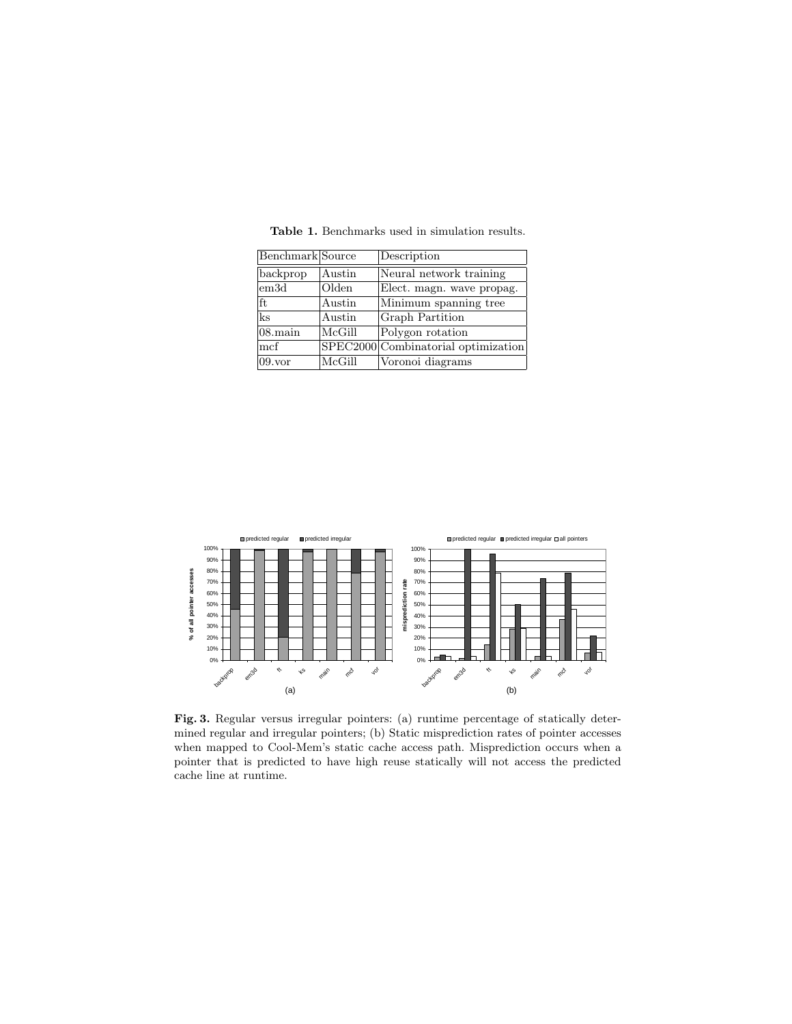| Benchmark Source            |        | Description                         |
|-----------------------------|--------|-------------------------------------|
| backprop                    | Austin | Neural network training             |
| $\rm  em3d$                 | Olden  | Elect. magn. wave propag.           |
| lft.                        | Austin | Minimum spanning tree               |
| $\rm ks$                    | Austin | <b>Graph Partition</b>              |
| $ 08 \text{.} \text{main} $ | McGill | Polygon rotation                    |
| mcf                         |        | SPEC2000 Combinatorial optimization |
| $09$ .vor                   | McGill | Voronoi diagrams                    |

Table 1. Benchmarks used in simulation results.



Fig. 3. Regular versus irregular pointers: (a) runtime percentage of statically determined regular and irregular pointers; (b) Static misprediction rates of pointer accesses when mapped to Cool-Mem's static cache access path. Misprediction occurs when a pointer that is predicted to have high reuse statically will not access the predicted cache line at runtime.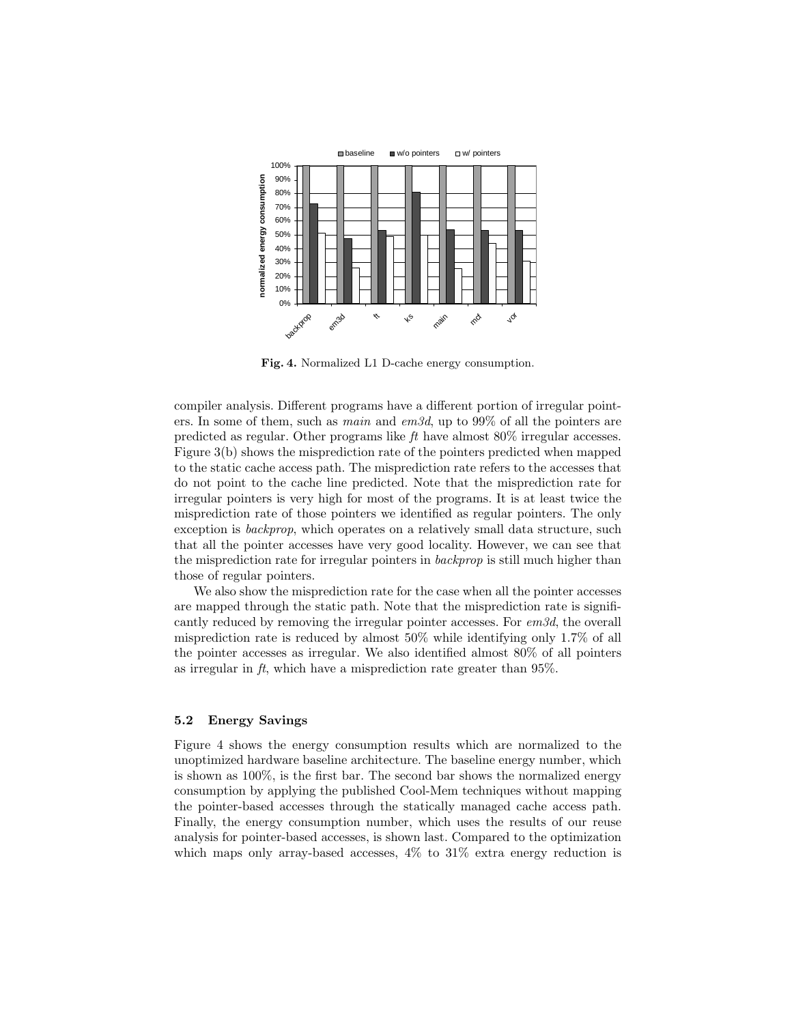

Fig. 4. Normalized L1 D-cache energy consumption.

compiler analysis. Different programs have a different portion of irregular pointers. In some of them, such as main and em3d, up to 99% of all the pointers are predicted as regular. Other programs like ft have almost 80% irregular accesses. Figure 3(b) shows the misprediction rate of the pointers predicted when mapped to the static cache access path. The misprediction rate refers to the accesses that do not point to the cache line predicted. Note that the misprediction rate for irregular pointers is very high for most of the programs. It is at least twice the misprediction rate of those pointers we identified as regular pointers. The only exception is backprop, which operates on a relatively small data structure, such that all the pointer accesses have very good locality. However, we can see that the misprediction rate for irregular pointers in backprop is still much higher than those of regular pointers.

We also show the misprediction rate for the case when all the pointer accesses are mapped through the static path. Note that the misprediction rate is significantly reduced by removing the irregular pointer accesses. For em3d, the overall misprediction rate is reduced by almost 50% while identifying only 1.7% of all the pointer accesses as irregular. We also identified almost 80% of all pointers as irregular in  $ft$ , which have a misprediction rate greater than  $95\%$ .

#### 5.2 Energy Savings

Figure 4 shows the energy consumption results which are normalized to the unoptimized hardware baseline architecture. The baseline energy number, which is shown as 100%, is the first bar. The second bar shows the normalized energy consumption by applying the published Cool-Mem techniques without mapping the pointer-based accesses through the statically managed cache access path. Finally, the energy consumption number, which uses the results of our reuse analysis for pointer-based accesses, is shown last. Compared to the optimization which maps only array-based accesses,  $4\%$  to  $31\%$  extra energy reduction is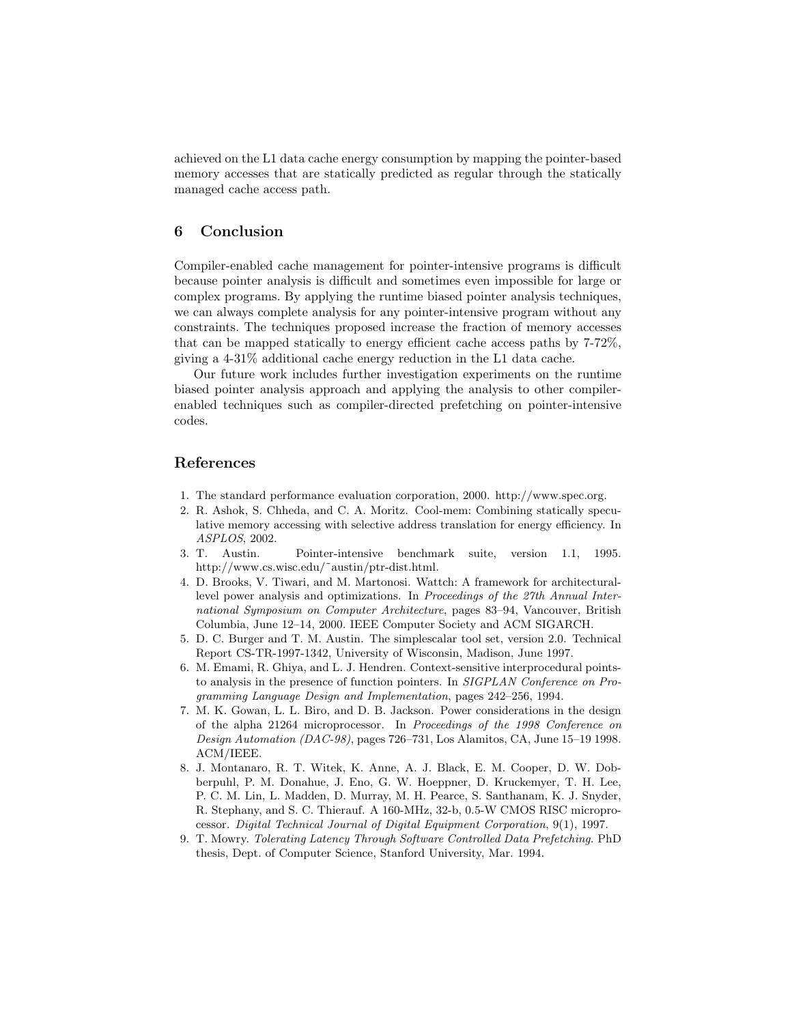achieved on the L1 data cache energy consumption by mapping the pointer-based memory accesses that are statically predicted as regular through the statically managed cache access path.

### 6 Conclusion

Compiler-enabled cache management for pointer-intensive programs is difficult because pointer analysis is difficult and sometimes even impossible for large or complex programs. By applying the runtime biased pointer analysis techniques, we can always complete analysis for any pointer-intensive program without any constraints. The techniques proposed increase the fraction of memory accesses that can be mapped statically to energy efficient cache access paths by 7-72%, giving a 4-31% additional cache energy reduction in the L1 data cache.

Our future work includes further investigation experiments on the runtime biased pointer analysis approach and applying the analysis to other compilerenabled techniques such as compiler-directed prefetching on pointer-intensive codes.

## References

- 1. The standard performance evaluation corporation, 2000. http://www.spec.org.
- 2. R. Ashok, S. Chheda, and C. A. Moritz. Cool-mem: Combining statically speculative memory accessing with selective address translation for energy efficiency. In ASPLOS, 2002.
- 3. T. Austin. Pointer-intensive benchmark suite, version 1.1, 1995. http://www.cs.wisc.edu/˜austin/ptr-dist.html.
- 4. D. Brooks, V. Tiwari, and M. Martonosi. Wattch: A framework for architecturallevel power analysis and optimizations. In Proceedings of the 27th Annual International Symposium on Computer Architecture, pages 83–94, Vancouver, British Columbia, June 12–14, 2000. IEEE Computer Society and ACM SIGARCH.
- 5. D. C. Burger and T. M. Austin. The simplescalar tool set, version 2.0. Technical Report CS-TR-1997-1342, University of Wisconsin, Madison, June 1997.
- 6. M. Emami, R. Ghiya, and L. J. Hendren. Context-sensitive interprocedural pointsto analysis in the presence of function pointers. In SIGPLAN Conference on Programming Language Design and Implementation, pages 242–256, 1994.
- 7. M. K. Gowan, L. L. Biro, and D. B. Jackson. Power considerations in the design of the alpha 21264 microprocessor. In Proceedings of the 1998 Conference on Design Automation (DAC-98), pages 726–731, Los Alamitos, CA, June 15–19 1998. ACM/IEEE.
- 8. J. Montanaro, R. T. Witek, K. Anne, A. J. Black, E. M. Cooper, D. W. Dobberpuhl, P. M. Donahue, J. Eno, G. W. Hoeppner, D. Kruckemyer, T. H. Lee, P. C. M. Lin, L. Madden, D. Murray, M. H. Pearce, S. Santhanam, K. J. Snyder, R. Stephany, and S. C. Thierauf. A 160-MHz, 32-b, 0.5-W CMOS RISC microprocessor. Digital Technical Journal of Digital Equipment Corporation, 9(1), 1997.
- 9. T. Mowry. Tolerating Latency Through Software Controlled Data Prefetching. PhD thesis, Dept. of Computer Science, Stanford University, Mar. 1994.